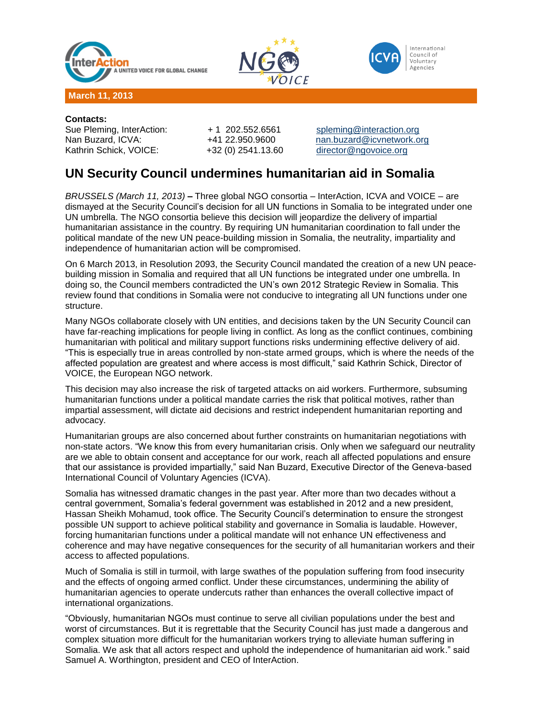





**Contacts:** Sue Pleming, InterAction: + 1 202.552.6561 [spleming@interaction.org](mailto:spleming@interaction.org) Kathrin Schick, VOICE: +32 (0) 2541.13.60 [director@ngovoice.org](mailto:director@ngovoice.org)

Nan Buzard, ICVA: +41 22.950.9600 [nan.buzard@icvnetwork.org](mailto:nan.buzard@icvnetwork.org)

## **UN Security Council undermines humanitarian aid in Somalia**

*BRUSSELS (March 11, 2013)* **–** Three global NGO consortia – InterAction, ICVA and VOICE – are dismayed at the Security Council's decision for all UN functions in Somalia to be integrated under one UN umbrella. The NGO consortia believe this decision will jeopardize the delivery of impartial humanitarian assistance in the country. By requiring UN humanitarian coordination to fall under the political mandate of the new UN peace-building mission in Somalia, the neutrality, impartiality and independence of humanitarian action will be compromised.

On 6 March 2013, in Resolution 2093, the Security Council mandated the creation of a new UN peacebuilding mission in Somalia and required that all UN functions be integrated under one umbrella. In doing so, the Council members contradicted the UN's own 2012 Strategic Review in Somalia. This review found that conditions in Somalia were not conducive to integrating all UN functions under one structure.

Many NGOs collaborate closely with UN entities, and decisions taken by the UN Security Council can have far-reaching implications for people living in conflict. As long as the conflict continues, combining humanitarian with political and military support functions risks undermining effective delivery of aid. "This is especially true in areas controlled by non-state armed groups, which is where the needs of the affected population are greatest and where access is most difficult," said Kathrin Schick, Director of VOICE, the European NGO network.

This decision may also increase the risk of targeted attacks on aid workers. Furthermore, subsuming humanitarian functions under a political mandate carries the risk that political motives, rather than impartial assessment, will dictate aid decisions and restrict independent humanitarian reporting and advocacy.

Humanitarian groups are also concerned about further constraints on humanitarian negotiations with non-state actors. "We know this from every humanitarian crisis. Only when we safeguard our neutrality are we able to obtain consent and acceptance for our work, reach all affected populations and ensure that our assistance is provided impartially," said Nan Buzard, Executive Director of the Geneva-based International Council of Voluntary Agencies (ICVA).

Somalia has witnessed dramatic changes in the past year. After more than two decades without a central government, Somalia's federal government was established in 2012 and a new president, Hassan Sheikh Mohamud, took office. The Security Council's determination to ensure the strongest possible UN support to achieve political stability and governance in Somalia is laudable. However, forcing humanitarian functions under a political mandate will not enhance UN effectiveness and coherence and may have negative consequences for the security of all humanitarian workers and their access to affected populations.

Much of Somalia is still in turmoil, with large swathes of the population suffering from food insecurity and the effects of ongoing armed conflict. Under these circumstances, undermining the ability of humanitarian agencies to operate undercuts rather than enhances the overall collective impact of international organizations.

"Obviously, humanitarian NGOs must continue to serve all civilian populations under the best and worst of circumstances. But it is regrettable that the Security Council has just made a dangerous and complex situation more difficult for the humanitarian workers trying to alleviate human suffering in Somalia. We ask that all actors respect and uphold the independence of humanitarian aid work." said Samuel A. Worthington, president and CEO of InterAction.